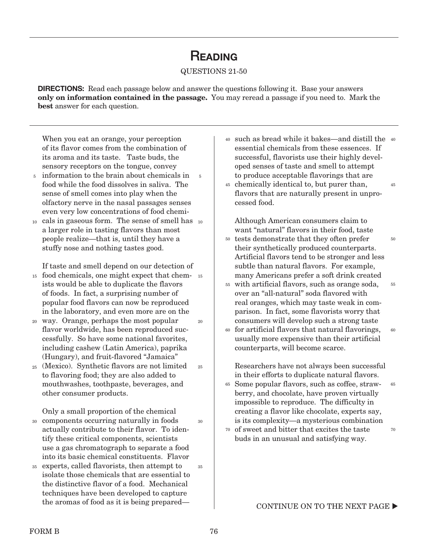## **READING**

## QUESTIONS 21-50

DIRECTIONS: Read each passage below and answer the questions following it. Base your answers only on information contained in the passage. You may reread a passage if you need to. Mark the best answer for each question.

When you eat an orange, your perception of its flavor comes from the combination of its aroma and its taste. Taste buds, the sensory receptors on the tongue, convey

- information to the brain about chemicals in food while the food dissolves in saliva. The sense of smell comes into play when the olfactory nerve in the nasal passages senses even very low concentrations of food chemi-5 5
- cals in gaseous form. The sense of smell has 10 a larger role in tasting flavors than most people realize—that is, until they have a stuffy nose and nothing tastes good. 10

If taste and smell depend on our detection of

- 15 food chemicals, one might expect that chem-15 ists would be able to duplicate the flavors of foods. In fact, a surprising number of popular food flavors can now be reproduced in the laboratory, and even more are on the
- way. Orange, perhaps the most popular 20 flavor worldwide, has been reproduced successfully. So have some national favorites, including cashew (Latin America), paprika (Hungary), and fruit-flavored "Jamaica"  $20$
- (Mexico). Synthetic flavors are not limited 25 to flavoring food; they are also added to mouthwashes, toothpaste, beverages, and other consumer products.

Only a small proportion of the chemical components occurring naturally in foods 30 actually contribute to their flavor. To identify these critical components, scientists use a gas chromatograph to separate a food

into its basic chemical constituents. Flavor experts, called flavorists, then attempt to isolate those chemicals that are essential to the distinctive flavor of a food. Mechanical techniques have been developed to capture the aromas of food as it is being prepared— 35 35

- such as bread while it bakes—and distill the 40 40 essential chemicals from these essences. If successful, flavorists use their highly developed senses of taste and smell to attempt to produce acceptable flavorings that are 45
- chemically identical to, but purer than, 45 flavors that are naturally present in unprocessed food.

Although American consumers claim to want "natural" flavors in their food, taste <sup>50</sup> tests demonstrate that they often prefer their synthetically produced counterparts. Artificial flavors tend to be stronger and less subtle than natural flavors. For example, many Americans prefer a soft drink created

50

- with artificial flavors, such as orange soda, 55 over an "all-natural" soda flavored with real oranges, which may taste weak in comparison. In fact, some flavorists worry that consumers will develop such a strong taste 55
- for artificial flavors that natural flavorings, 60 usually more expensive than their artificial counterparts, will become scarce. 60

Researchers have not always been successful in their efforts to duplicate natural flavors.

- Some popular flavors, such as coffee, straw-65 berry, and chocolate, have proven virtually impossible to reproduce. The difficulty in creating a flavor like chocolate, experts say, is its complexity—a mysterious combination 65
- of sweet and bitter that excites the taste 70 buds in an unusual and satisfying way. 70

CONTINUE ON TO THE NEXT PAGE  $\blacktriangleright$ 

25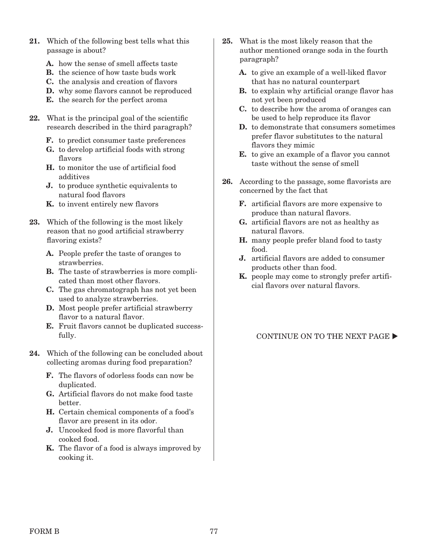- 21. Which of the following best tells what this passage is about?
	- A. how the sense of smell affects taste
	- B. the science of how taste buds work
	- C. the analysis and creation of flavors
	- D. why some flavors cannot be reproduced
	- E. the search for the perfect aroma
- 22. What is the principal goal of the scientific research described in the third paragraph?
	- F. to predict consumer taste preferences
	- G. to develop artificial foods with strong flavors
	- H. to monitor the use of artificial food additives
	- J. to produce synthetic equivalents to natural food flavors
	- K. to invent entirely new flavors
- 23. Which of the following is the most likely reason that no good artificial strawberry flavoring exists?
	- A. People prefer the taste of oranges to strawberries.
	- B. The taste of strawberries is more complicated than most other flavors.
	- C. The gas chromatograph has not yet been used to analyze strawberries.
	- D. Most people prefer artificial strawberry flavor to a natural flavor.
	- E. Fruit flavors cannot be duplicated successfully.
- 24. Which of the following can be concluded about collecting aromas during food preparation?
	- F. The flavors of odorless foods can now be duplicated.
	- G. Artificial flavors do not make food taste better.
	- H. Certain chemical components of a food's flavor are present in its odor.
	- J. Uncooked food is more flavorful than cooked food.
	- K. The flavor of a food is always improved by cooking it.
- 25. What is the most likely reason that the author mentioned orange soda in the fourth paragraph?
	- A. to give an example of a well-liked flavor that has no natural counterpart
	- B. to explain why artificial orange flavor has not yet been produced
	- C. to describe how the aroma of oranges can be used to help reproduce its flavor
	- D. to demonstrate that consumers sometimes prefer flavor substitutes to the natural flavors they mimic
	- E. to give an example of a flavor you cannot taste without the sense of smell
- 26. According to the passage, some flavorists are concerned by the fact that
	- F. artificial flavors are more expensive to produce than natural flavors.
	- G. artificial flavors are not as healthy as natural flavors.
	- H. many people prefer bland food to tasty food.
	- J. artificial flavors are added to consumer products other than food.
	- K. people may come to strongly prefer artificial flavors over natural flavors.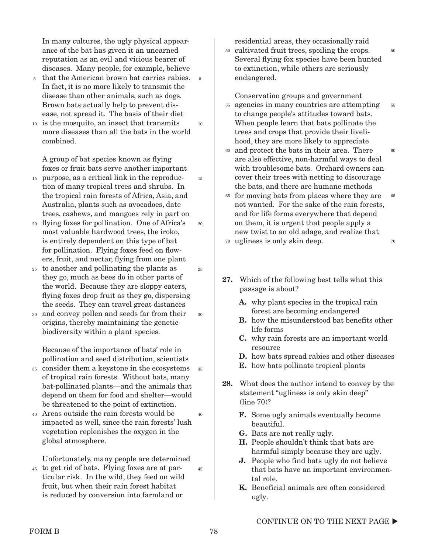In many cultures, the ugly physical appearance of the bat has given it an unearned reputation as an evil and vicious bearer of diseases. Many people, for example, believe

- 5 that the American brown bat carries rabies. 5 In fact, it is no more likely to transmit the disease than other animals, such as dogs. Brown bats actually help to prevent disease, not spread it. The basis of their diet
- is the mosquito, an insect that transmits 10 more diseases than all the bats in the world combined. 10

A group of bat species known as flying foxes or fruit bats serve another important

- purpose, as a critical link in the reproduc-15 tion of many tropical trees and shrubs. In the tropical rain forests of Africa, Asia, and Australia, plants such as avocadoes, date trees, cashews, and mangoes rely in part on 15
- flying foxes for pollination. One of Africa's 20 most valuable hardwood trees, the iroko, is entirely dependent on this type of bat for pollination. Flying foxes feed on flowers, fruit, and nectar, flying from one plant
- to another and pollinating the plants as 25 they go, much as bees do in other parts of the world. Because they are sloppy eaters, flying foxes drop fruit as they go, dispersing the seeds. They can travel great distances
- and convey pollen and seeds far from their 30 origins, thereby maintaining the genetic biodiversity within a plant species. 30

Because of the importance of bats' role in pollination and seed distribution, scientists

- consider them a keystone in the ecosystems 35 of tropical rain forests. Without bats, many bat-pollinated plants—and the animals that depend on them for food and shelter—would be threatened to the point of extinction. 35
- Areas outside the rain forests would be impacted as well, since the rain forests' lush vegetation replenishes the oxygen in the global atmosphere. 40 40

Unfortunately, many people are determined

to get rid of bats. Flying foxes are at par-45 ticular risk. In the wild, they feed on wild fruit, but when their rain forest habitat is reduced by conversion into farmland or 45 residential areas, they occasionally raid

<sup>50</sup> cultivated fruit trees, spoiling the crops. Several flying fox species have been hunted to extinction, while others are seriously endangered.

50

Conservation groups and government

- agencies in many countries are attempting 55 to change people's attitudes toward bats. When people learn that bats pollinate the trees and crops that provide their livelihood, they are more likely to appreciate 55
- and protect the bats in their area. There 60 are also effective, non-harmful ways to deal with troublesome bats. Orchard owners can cover their trees with netting to discourage the bats, and there are humane methods  $60$
- for moving bats from places where they are 65 not wanted. For the sake of the rain forests, and for life forms everywhere that depend on them, it is urgent that people apply a new twist to an old adage, and realize that ugliness is only skin deep. 70 65 70
- 27. Which of the following best tells what this passage is about?
	- A. why plant species in the tropical rain forest are becoming endangered
	- B. how the misunderstood bat benefits other life forms
	- C. why rain forests are an important world resource
	- D. how bats spread rabies and other diseases
	- E. how bats pollinate tropical plants
- 28. What does the author intend to convey by the statement "ugliness is only skin deep" (line 70)?
	- F. Some ugly animals eventually become beautiful.
	- G. Bats are not really ugly.
	- H. People shouldn't think that bats are harmful simply because they are ugly.
	- J. People who find bats ugly do not believe that bats have an important environmental role.
	- K. Beneficial animals are often considered ugly.

20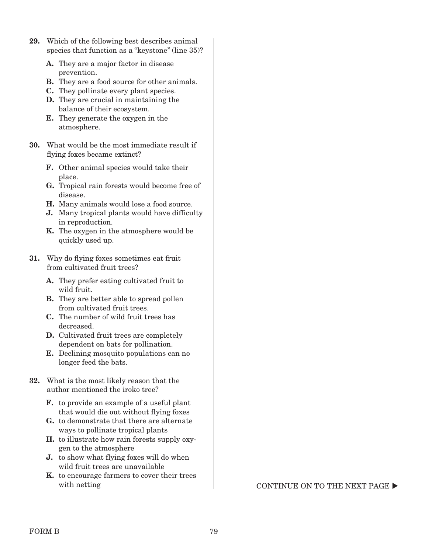- 29. Which of the following best describes animal species that function as a "keystone" (line 35)?
	- A. They are a major factor in disease prevention.
	- B. They are a food source for other animals.
	- C. They pollinate every plant species.
	- D. They are crucial in maintaining the balance of their ecosystem.
	- E. They generate the oxygen in the atmosphere.
- 30. What would be the most immediate result if flying foxes became extinct?
	- F. Other animal species would take their place.
	- G. Tropical rain forests would become free of disease.
	- H. Many animals would lose a food source.
	- J. Many tropical plants would have difficulty in reproduction.
	- K. The oxygen in the atmosphere would be quickly used up.
- 31. Why do flying foxes sometimes eat fruit from cultivated fruit trees?
	- A. They prefer eating cultivated fruit to wild fruit.
	- B. They are better able to spread pollen from cultivated fruit trees.
	- C. The number of wild fruit trees has decreased.
	- D. Cultivated fruit trees are completely dependent on bats for pollination.
	- E. Declining mosquito populations can no longer feed the bats.
- 32. What is the most likely reason that the author mentioned the iroko tree?
	- F. to provide an example of a useful plant that would die out without flying foxes
	- G. to demonstrate that there are alternate ways to pollinate tropical plants
	- H. to illustrate how rain forests supply oxygen to the atmosphere
	- J. to show what flying foxes will do when wild fruit trees are unavailable
	- K. to encourage farmers to cover their trees

with netting  $\begin{array}{c} \text{CONTINUE ON TO THE NEXT PAGE} \end{array}$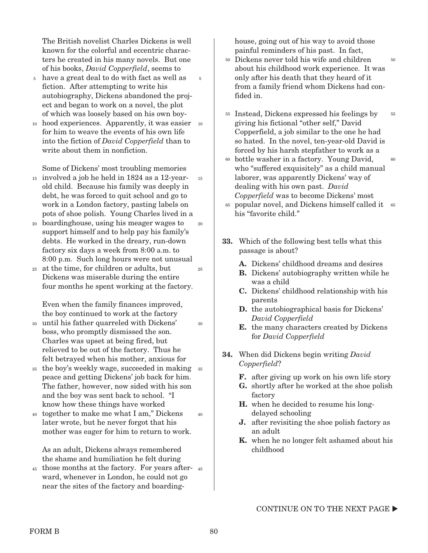The British novelist Charles Dickens is well known for the colorful and eccentric characters he created in his many novels. But one of his books, *David Copperfield*, seems to

5

- have a great deal to do with fact as well as 5 fiction. After attempting to write his autobiography, Dickens abandoned the project and began to work on a novel, the plot of which was loosely based on his own boy-
- <sup>10</sup> hood experiences. Apparently, it was easier <sup>10</sup> for him to weave the events of his own life into the fiction of *David Copperfield* than to write about them in nonfiction.

Some of Dickens' most troubling memories

- involved a job he held in 1824 as a 12-year-15 old child. Because his family was deeply in debt, he was forced to quit school and go to work in a London factory, pasting labels on pots of shoe polish. Young Charles lived in a 15
- boardinghouse, using his meager wages to 20 support himself and to help pay his family's debts. He worked in the dreary, run-down factory six days a week from 8:00 a.m. to 8:00 p.m. Such long hours were not unusual 20
- at the time, for children or adults, but 25 Dickens was miserable during the entire four months he spent working at the factory. 25

Even when the family finances improved, the boy continued to work at the factory

- until his father quarreled with Dickens' 30 boss, who promptly dismissed the son. Charles was upset at being fired, but relieved to be out of the factory. Thus he felt betrayed when his mother, anxious for 30
- <sup>35</sup> the boy's weekly wage, succeeded in making <sup>35</sup> peace and getting Dickens' job back for him. The father, however, now sided with his son and the boy was sent back to school. "I know how these things have worked
- together to make me what I am," Dickens 40 later wrote, but he never forgot that his mother was eager for him to return to work. 40

As an adult, Dickens always remembered the shame and humiliation he felt during

45 those months at the factory. For years afterward, whenever in London, he could not go near the sites of the factory and boardinghouse, going out of his way to avoid those painful reminders of his past. In fact,

- Dickens never told his wife and children about his childhood work experience. It was only after his death that they heard of it from a family friend whom Dickens had confided in. 50
- <sup>55</sup> Instead, Dickens expressed his feelings by giving his fictional "other self," David Copperfield, a job similar to the one he had so hated. In the novel, ten-year-old David is forced by his harsh stepfather to work as a 55
- bottle washer in a factory. Young David, 60 who "suffered exquisitely" as a child manual laborer, was apparently Dickens' way of dealing with his own past. *David Copperfield* was to become Dickens' most 60
- popular novel, and Dickens himself called it 65 65 his "favorite child."
- 33. Which of the following best tells what this passage is about?
	- A. Dickens' childhood dreams and desires
	- B. Dickens' autobiography written while he was a child
	- C. Dickens' childhood relationship with his parents
	- D. the autobiographical basis for Dickens' *David Copperfield*
	- E. the many characters created by Dickens for *David Copperfield*
- 34. When did Dickens begin writing *David Copperfield*?
	- F. after giving up work on his own life story
	- G. shortly after he worked at the shoe polish factory
	- H. when he decided to resume his longdelayed schooling
	- J. after revisiting the shoe polish factory as an adult
	- K. when he no longer felt ashamed about his childhood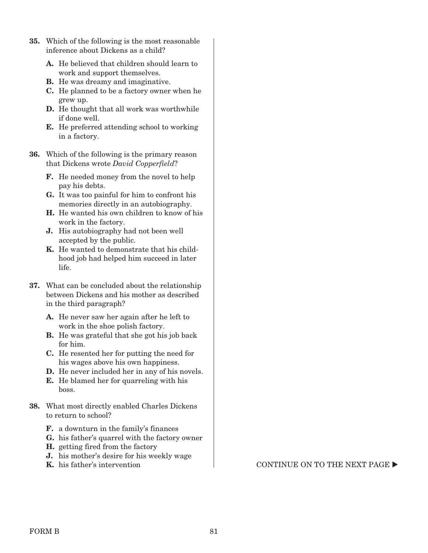- 35. Which of the following is the most reasonable inference about Dickens as a child?
	- A. He believed that children should learn to work and support themselves.
	- B. He was dreamy and imaginative.
	- C. He planned to be a factory owner when he grew up.
	- D. He thought that all work was worthwhile if done well.
	- E. He preferred attending school to working in a factory.
- 36. Which of the following is the primary reason that Dickens wrote *David Copperfield*?
	- F. He needed money from the novel to help pay his debts.
	- G. It was too painful for him to confront his memories directly in an autobiography.
	- H. He wanted his own children to know of his work in the factory.
	- J. His autobiography had not been well accepted by the public.
	- K. He wanted to demonstrate that his childhood job had helped him succeed in later life.
- 37. What can be concluded about the relationship between Dickens and his mother as described in the third paragraph?
	- A. He never saw her again after he left to work in the shoe polish factory.
	- B. He was grateful that she got his job back for him.
	- C. He resented her for putting the need for his wages above his own happiness.
	- D. He never included her in any of his novels.
	- E. He blamed her for quarreling with his boss.
- 38. What most directly enabled Charles Dickens to return to school?
	- F. a downturn in the family's finances
	- G. his father's quarrel with the factory owner
	- H. getting fired from the factory
	- J. his mother's desire for his weekly wage
	-

**K.** his father's intervention  $\blacksquare$  CONTINUE ON TO THE NEXT PAGE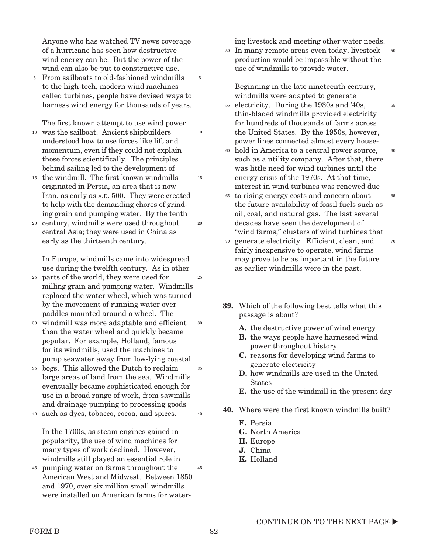Anyone who has watched TV news coverage of a hurricane has seen how destructive wind energy can be. But the power of the wind can also be put to constructive use.

5

10

20

<sup>5</sup> From sailboats to old-fashioned windmills to the high-tech, modern wind machines called turbines, people have devised ways to harness wind energy for thousands of years.

The first known attempt to use wind power

- was the sailboat. Ancient shipbuilders understood how to use forces like lift and momentum, even if they could not explain those forces scientifically. The principles behind sailing led to the development of 10
- <sup>15</sup> the windmill. The first known windmills originated in Persia, an area that is now Iran, as early as A.D. 500. They were created to help with the demanding chores of grinding grain and pumping water. By the tenth 15
- century, windmills were used throughout 20 central Asia; they were used in China as early as the thirteenth century.

In Europe, windmills came into widespread use during the twelfth century. As in other

- parts of the world, they were used for 25 milling grain and pumping water. Windmills replaced the water wheel, which was turned by the movement of running water over paddles mounted around a wheel. The 25
- windmill was more adaptable and efficient 30 than the water wheel and quickly became popular. For example, Holland, famous for its windmills, used the machines to pump seawater away from low-lying coastal 30
- bogs. This allowed the Dutch to reclaim 35 large areas of land from the sea. Windmills eventually became sophisticated enough for use in a broad range of work, from sawmills and drainage pumping to processing goods 35

such as dyes, tobacco, cocoa, and spices. 40 40

In the 1700s, as steam engines gained in popularity, the use of wind machines for many types of work declined. However, windmills still played an essential role in

pumping water on farms throughout the 45 American West and Midwest. Between 1850 and 1970, over six million small windmills were installed on American farms for water-45 ing livestock and meeting other water needs.

<sup>50</sup> In many remote areas even today, livestock production would be impossible without the use of windmills to provide water. 50

Beginning in the late nineteenth century, windmills were adapted to generate

- electricity. During the 1930s and '40s, 55 thin-bladed windmills provided electricity for hundreds of thousands of farms across the United States. By the 1950s, however, power lines connected almost every house-
- hold in America to a central power source, 60 such as a utility company. After that, there was little need for wind turbines until the energy crisis of the 1970s. At that time, interest in wind turbines was renewed due 60
- to rising energy costs and concern about 65 the future availability of fossil fuels such as oil, coal, and natural gas. The last several decades have seen the development of "wind farms," clusters of wind turbines that 65 70
- generate electricity. Efficient, clean, and 70 fairly inexpensive to operate, wind farms may prove to be as important in the future as earlier windmills were in the past.
- 39. Which of the following best tells what this passage is about?
	- A. the destructive power of wind energy
	- B. the ways people have harnessed wind power throughout history
	- C. reasons for developing wind farms to generate electricity
	- D. how windmills are used in the United **States**
	- E. the use of the windmill in the present day
- 40. Where were the first known windmills built?
	- F. Persia
	- G. North America
	- H. Europe
	- J. China
	- K. Holland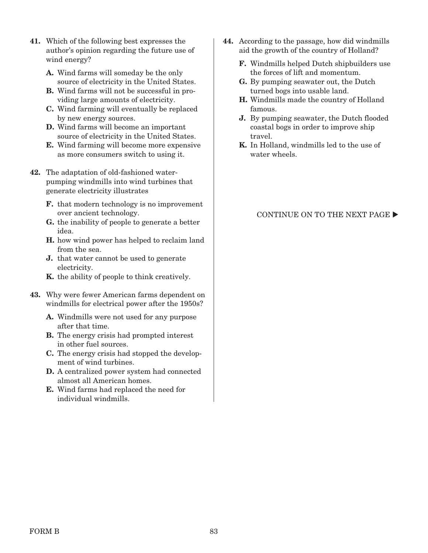- 41. Which of the following best expresses the author's opinion regarding the future use of wind energy?
	- A. Wind farms will someday be the only source of electricity in the United States.
	- B. Wind farms will not be successful in providing large amounts of electricity.
	- C. Wind farming will eventually be replaced by new energy sources.
	- D. Wind farms will become an important source of electricity in the United States.
	- E. Wind farming will become more expensive as more consumers switch to using it.
- 42. The adaptation of old-fashioned waterpumping windmills into wind turbines that generate electricity illustrates
	- F. that modern technology is no improvement over ancient technology.
	- G. the inability of people to generate a better idea.
	- H. how wind power has helped to reclaim land from the sea.
	- J. that water cannot be used to generate electricity.
	- K. the ability of people to think creatively.
- 43. Why were fewer American farms dependent on windmills for electrical power after the 1950s?
	- A. Windmills were not used for any purpose after that time.
	- B. The energy crisis had prompted interest in other fuel sources.
	- C. The energy crisis had stopped the development of wind turbines.
	- D. A centralized power system had connected almost all American homes.
	- E. Wind farms had replaced the need for individual windmills.
- 44. According to the passage, how did windmills aid the growth of the country of Holland?
	- F. Windmills helped Dutch shipbuilders use the forces of lift and momentum.
	- G. By pumping seawater out, the Dutch turned bogs into usable land.
	- H. Windmills made the country of Holland famous.
	- J. By pumping seawater, the Dutch flooded coastal bogs in order to improve ship travel.
	- K. In Holland, windmills led to the use of water wheels.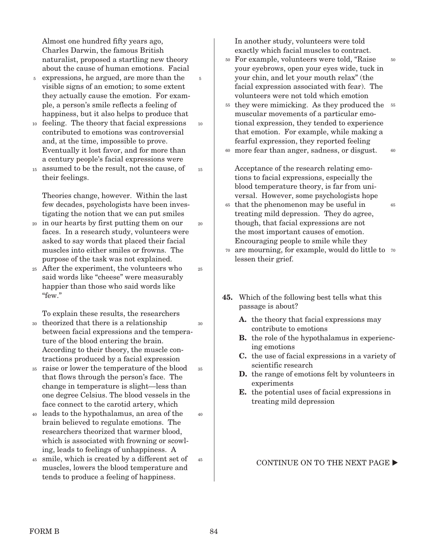Almost one hundred fifty years ago, Charles Darwin, the famous British naturalist, proposed a startling new theory about the cause of human emotions. Facial

5

10

15

20

25

35

- <sup>5</sup> expressions, he argued, are more than the visible signs of an emotion; to some extent they actually cause the emotion. For example, a person's smile reflects a feeling of happiness, but it also helps to produce that
- feeling. The theory that facial expressions 10 contributed to emotions was controversial and, at the time, impossible to prove. Eventually it lost favor, and for more than a century people's facial expressions were
- assumed to be the result, not the cause, of their feelings. 15

Theories change, however. Within the last few decades, psychologists have been investigating the notion that we can put smiles

- in our hearts by first putting them on our 20 faces. In a research study, volunteers were asked to say words that placed their facial muscles into either smiles or frowns. The purpose of the task was not explained.
- After the experiment, the volunteers who 25 said words like "cheese" were measurably happier than those who said words like "few."

To explain these results, the researchers

- theorized that there is a relationship between facial expressions and the temperature of the blood entering the brain. According to their theory, the muscle contractions produced by a facial expression 30 30
- raise or lower the temperature of the blood 35 that flows through the person's face. The change in temperature is slight—less than one degree Celsius. The blood vessels in the face connect to the carotid artery, which
- leads to the hypothalamus, an area of the 40 brain believed to regulate emotions. The researchers theorized that warmer blood, which is associated with frowning or scowling, leads to feelings of unhappiness. A 40
- smile, which is created by a different set of 45 muscles, lowers the blood temperature and tends to produce a feeling of happiness. 45

In another study, volunteers were told exactly which facial muscles to contract.

- For example, volunteers were told, "Raise 50 your eyebrows, open your eyes wide, tuck in your chin, and let your mouth relax" (the facial expression associated with fear). The volunteers were not told which emotion 50
- <sup>55</sup> they were mimicking. As they produced the <sup>55</sup> muscular movements of a particular emotional expression, they tended to experience that emotion. For example, while making a fearful expression, they reported feeling
- more fear than anger, sadness, or disgust. 60 60

Acceptance of the research relating emotions to facial expressions, especially the blood temperature theory, is far from universal. However, some psychologists hope

that the phenomenon may be useful in 65 treating mild depression. They do agree, though, that facial expressions are not the most important causes of emotion. Encouraging people to smile while they

65

- are mourning, for example, would do little to 70 70 lessen their grief.
- 45. Which of the following best tells what this passage is about?
	- A. the theory that facial expressions may contribute to emotions
	- B. the role of the hypothalamus in experiencing emotions
	- C. the use of facial expressions in a variety of scientific research
	- D. the range of emotions felt by volunteers in experiments
	- E. the potential uses of facial expressions in treating mild depression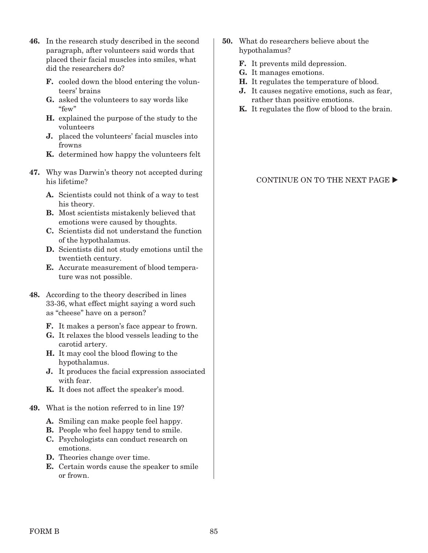- 46. In the research study described in the second paragraph, after volunteers said words that placed their facial muscles into smiles, what did the researchers do?
	- F. cooled down the blood entering the volunteers' brains
	- G. asked the volunteers to say words like "few"
	- H. explained the purpose of the study to the volunteers
	- J. placed the volunteers' facial muscles into frowns
	- K. determined how happy the volunteers felt
- 47. Why was Darwin's theory not accepted during his lifetime?
	- A. Scientists could not think of a way to test his theory.
	- B. Most scientists mistakenly believed that emotions were caused by thoughts.
	- C. Scientists did not understand the function of the hypothalamus.
	- D. Scientists did not study emotions until the twentieth century.
	- E. Accurate measurement of blood temperature was not possible.
- 48. According to the theory described in lines 33-36, what effect might saying a word such as "cheese" have on a person?
	- F. It makes a person's face appear to frown.
	- G. It relaxes the blood vessels leading to the carotid artery.
	- H. It may cool the blood flowing to the hypothalamus.
	- J. It produces the facial expression associated with fear.
	- K. It does not affect the speaker's mood.
- 49. What is the notion referred to in line 19?
	- A. Smiling can make people feel happy.
	- B. People who feel happy tend to smile.
	- C. Psychologists can conduct research on emotions.
	- D. Theories change over time.
	- E. Certain words cause the speaker to smile or frown.
- 50. What do researchers believe about the hypothalamus?
	- F. It prevents mild depression.
	- G. It manages emotions.
	- H. It regulates the temperature of blood.
	- J. It causes negative emotions, such as fear, rather than positive emotions.
	- K. It regulates the flow of blood to the brain.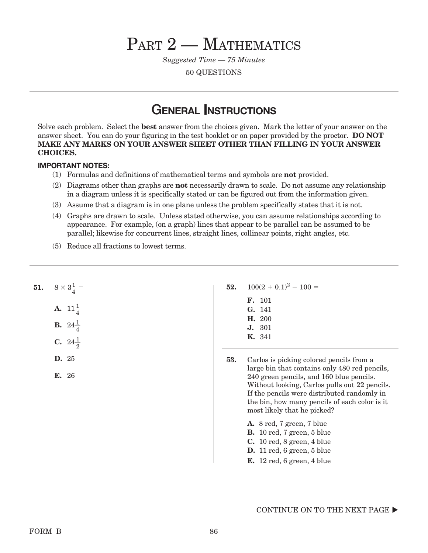# PART 2 - MATHEMATICS

*Suggested Time — 75 Minutes*

50 QUESTIONS

## General Instructions

Solve each problem. Select the best answer from the choices given. Mark the letter of your answer on the answer sheet. You can do your figuring in the test booklet or on paper provided by the proctor. DO NOT MAKE ANY MARKS ON YOUR ANSWER SHEET OTHER THAN FILLING IN YOUR ANSWER CHOICES.

## Important Notes:

- (1) Formulas and definitions of mathematical terms and symbols are not provided.
- (2) Diagrams other than graphs are not necessarily drawn to scale. Do not assume any relationship in a diagram unless it is specifically stated or can be figured out from the information given.
- (3) Assume that a diagram is in one plane unless the problem specifically states that it is not.
- (4) Graphs are drawn to scale. Unless stated otherwise, you can assume relationships according to appearance. For example, (on a graph) lines that appear to be parallel can be assumed to be parallel; likewise for concurrent lines, straight lines, collinear points, right angles, etc.
- (5) Reduce all fractions to lowest terms.

|  | <b>51.</b> $8 \times 3\frac{1}{4}$ |
|--|------------------------------------|
|  | <b>A.</b> $11\frac{1}{4}$          |
|  | <b>B.</b> $24\frac{1}{4}$          |
|  | C. $24\frac{1}{2}$                 |

- D. 25
- E. 26
- 52.  $100(2 + 0.1)^2 100 =$ 
	- F. 101 G. 141 H. 200 J. 301 K. 341
- 53. Carlos is picking colored pencils from a large bin that contains only 480 red pencils, 240 green pencils, and 160 blue pencils. Without looking, Carlos pulls out 22 pencils. If the pencils were distributed randomly in the bin, how many pencils of each color is it most likely that he picked?
	- A. 8 red, 7 green, 7 blue B. 10 red, 7 green, 5 blue C. 10 red, 8 green, 4 blue
	- D. 11 red, 6 green, 5 blue
	- E. 12 red, 6 green, 4 blue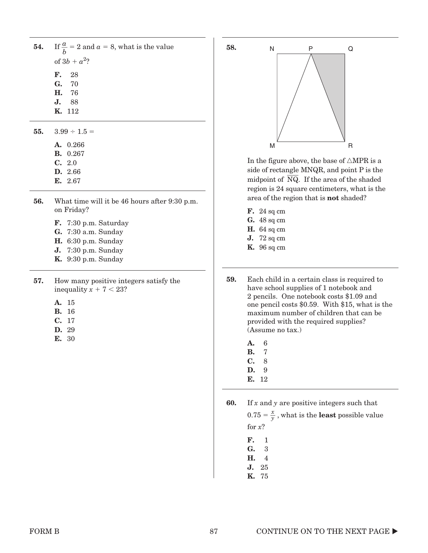| <b>54.</b> If $\frac{a}{b} = 2$ and $a = 8$ , what is the value<br>of $3b + a^2$ ? |
|------------------------------------------------------------------------------------|
| $\mathbf{F}$ , 28<br>G. 70<br><b>H.</b> 76                                         |
| <b>J.</b> 88<br><b>K.</b> 112                                                      |
| 55. $3.99 \div 1.5 =$<br><b>A.</b> 0.266                                           |

- B. 0.267
- C. 2.0
- D. 2.66
- E. 2.67
- 56. What time will it be 46 hours after 9:30 p.m. on Friday?
	- F. 7:30 p.m. Saturday
	- G. 7:30 a.m. Sunday
	- H. 6:30 p.m. Sunday
	- J. 7:30 p.m. Sunday
	- K. 9:30 p.m. Sunday
- 57. How many positive integers satisfy the inequality  $x + 7 < 23$ ?
	- A. 15
	- B. 16
	- C. 17
	- D. 29
	- E. 30



In the figure above, the base of  $\triangle{MPR}$  is a side of rectangle MNQR, and point P is the midpoint of NQ. If the area of the shaded region is 24 square centimeters, what is the area of the region that is not shaded?

- F. 24 sq cm
- G. 48 sq cm
- H. 64 sq cm
- J. 72 sq cm
- K. 96 sq cm
- 59. Each child in a certain class is required to have school supplies of 1 notebook and 2 pencils. One notebook costs \$1.09 and one pencil costs \$0.59. With \$15, what is the maximum number of children that can be provided with the required supplies? (Assume no tax.)
	- A. 6
	- B. 7 C. 8
	- D. 9
	- E. 12

**60.** If  $x$  and  $y$  are positive integers such that

 $0.75 = \frac{x}{y}$ , what is the **least** possible value for *x*?

F. 1

G. 3

- H. 4 J. 25
- K. 75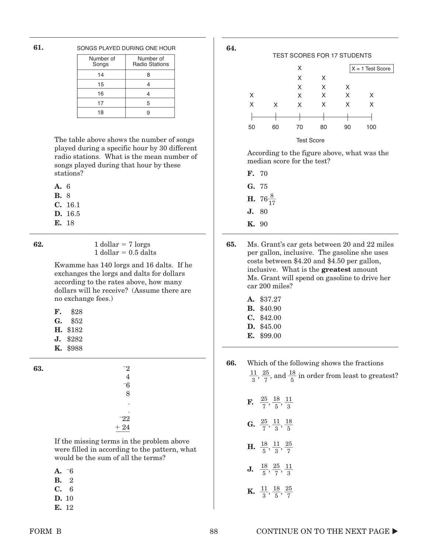61.

#### SONGS PLAYED DURING ONE HOUR

| Number of<br>Songs | Number of<br><b>Radio Stations</b> |
|--------------------|------------------------------------|
| 14                 |                                    |
| 15                 |                                    |
| 16                 |                                    |
| 17                 | 5                                  |
| 18                 |                                    |

The table above shows the number of songs played during a specific hour by 30 different radio stations. What is the mean number of songs played during that hour by these stations?

A. 6

B. 8

- C. 16.1
- D. 16.5
- E. 18

**62.** 1 dollar =  $7 \text{ lorgs}$ 1 dollar  $= 0.5$  dalts

> Kwamme has 140 lorgs and 16 dalts. If he exchanges the lorgs and dalts for dollars according to the rates above, how many dollars will he receive? (Assume there are no exchange fees.)

- F. \$28
- G. \$52
- H. \$182
- J. \$282
- K. \$988

| 63. | $^{-2}$ |  |
|-----|---------|--|
|     | 4       |  |
|     | $-6$    |  |
|     | 8       |  |
|     | ٠       |  |
|     | ٠       |  |
|     | $-22$   |  |
|     | $+24$   |  |
|     |         |  |

If the missing terms in the problem above were filled in according to the pattern, what would be the sum of all the terms?

| ۰, | ۰.<br>× |
|----|---------|

- B. 2
- C. 6
- D. 10
- E. 12



According to the figure above, what was the median score for the test?

- F. 70 G. 75
- **H.**  $76\frac{8}{17}$ 17
- J. 80
- K. 90

65. Ms. Grant's car gets between 20 and 22 miles per gallon, inclusive. The gasoline she uses costs between \$4.20 and \$4.50 per gallon, inclusive. What is the greatest amount Ms. Grant will spend on gasoline to drive her car 200 miles?

- A. \$37.27
- B. \$40.90
- C. \$42.00
- D. \$45.00
- E. \$99.00

66. Which of the following shows the fractions  $\frac{11}{3}$ ,  $\frac{25}{7}$ , and  $\frac{18}{5}$  in order from least to greatest?

- **F.**  $\frac{25}{7}, \frac{18}{5}, \frac{11}{3}$ **G.**  $\frac{25}{7}, \frac{11}{3}, \frac{18}{5}$ 5 **H.**  $\frac{18}{5}, \frac{11}{3}, \frac{25}{7}$ 7 **J.**  $\frac{18}{5}, \frac{25}{7}, \frac{11}{3}$
- **K.**  $\frac{11}{3}, \frac{18}{5}, \frac{25}{7}$ 7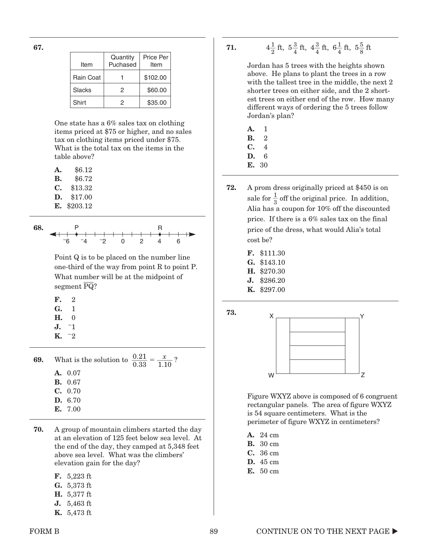67.

| Item      | Quantity<br>Puchased | Price Per<br>Item |
|-----------|----------------------|-------------------|
| Rain Coat |                      | \$102.00          |
| Slacks    | 2                    | \$60.00           |
| Shirt     | 2                    | \$35.00           |

One state has a 6% sales tax on clothing items priced at \$75 or higher, and no sales tax on clothing items priced under \$75. What is the total tax on the items in the table above?

| А. | \$6.12  |
|----|---------|
| В. | \$6.72  |
| С. | \$13.32 |
| D. | \$17.00 |

E. \$203.12



Point Q is to be placed on the number line one-third of the way from point R to point P. What number will be at the midpoint of wnat number<br>segment PQ?

| F. | 2  |
|----|----|
| G. | ı  |
| Н. | 0  |
| J. | -1 |

 $K. -2$ 

 $\overline{a}$ 

**69.** What is the solution to  $\frac{0.21}{0.33} = \frac{x}{1.10}$ ? A. 0.07 B. 0.67 C. 0.70 D. 6.70 E. 7.00

70. A group of mountain climbers started the day at an elevation of 125 feet below sea level. At the end of the day, they camped at 5,348 feet above sea level. What was the climbers' elevation gain for the day?

| F. | $5.223~\mathrm{ft}$          |
|----|------------------------------|
| G. | $5,373$ ft                   |
|    | <b>H.</b> $5,377 \text{ ft}$ |
| J. | $5,463$ ft                   |

K. 5,473 ft

71. 4  $\frac{1}{2}$  ft,  $5\frac{3}{4}$  ft,  $4\frac{3}{4}$  ft,  $6\frac{1}{4}$  ft,  $5\frac{5}{8}$  ft

> Jordan has 5 trees with the heights shown above. He plans to plant the trees in a row with the tallest tree in the middle, the next 2 shorter trees on either side, and the 2 shortest trees on either end of the row. How many different ways of ordering the 5 trees follow Jordan's plan?

- A. 1
- B. 2
- C. 4
- D. 6
- E. 30
- 72. A prom dress originally priced at \$450 is on sale for  $\frac{1}{2}$  $\frac{1}{3}$  off the original price. In addition, Alia has a coupon for 10% off the discounted price. If there is a 6% sales tax on the final price of the dress, what would Alia's total cost be?
	- F. \$111.30
	- G. \$143.10
	- H. \$270.30
	- J. \$286.20
	- K. \$297.00



Figure WXYZ above is composed of 6 congruent rectangular panels. The area of figure WXYZ is 54 square centimeters. What is the perimeter of figure WXYZ in centimeters?

- A. 24 cm
- B. 30 cm
- C. 36 cm
- D. 45 cm
- E. 50 cm

| 73. |  |
|-----|--|
|     |  |
|     |  |
|     |  |
|     |  |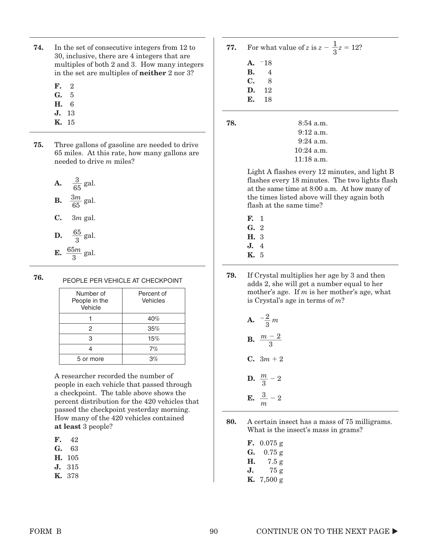- 74. In the set of consecutive integers from 12 to 30, inclusive, there are 4 integers that are multiples of both 2 and 3. How many integers in the set are multiples of neither 2 nor 3?
	- F. 2
	- G. 5
	- H. 6
	- J. 13
	- K. 15
- 75. Three gallons of gasoline are needed to drive 65 miles. At this rate, how many gallons are needed to drive *m* miles?
	- **A.**  $\frac{3}{65}$  gal. **B.**  $\frac{3m}{65}$  gal.
	-
	- C. 3*m* gal.
	- **D.**  $\frac{65}{9}$  $rac{36}{3}$  gal.
	- $E. \frac{65m}{9}$  $rac{3m}{3}$  gal.

#### 76. PEOPLE PER VEHICLE AT CHECKPOINT

| Number of<br>People in the<br>Vehicle | Percent of<br>Vehicles |
|---------------------------------------|------------------------|
|                                       | 40%                    |
| 2                                     | 35%                    |
| 3                                     | 15%                    |
|                                       | 7%                     |
| 5 or more                             | 3%                     |

A researcher recorded the number of people in each vehicle that passed through a checkpoint. The table above shows the percent distribution for the 420 vehicles that passed the checkpoint yesterday morning. How many of the 420 vehicles contained at least 3 people?

- F. 42
- G. 63
- H. 105
- J. 315
- K. 378
- **77.** For what value of *z* is  $z \frac{1}{3}z = 12$ ?
	- $A. -18$ B. 4
	- C. 8
	- D. 12
	- E. 18

**78.** 8:54 a.m.

- 9:12 a.m. 9:24 a.m. 10:24 a.m.
	- 11:18 a.m.

Light A flashes every 12 minutes, and light B flashes every 18 minutes. The two lights flash at the same time at 8:00 a.m. At how many of the times listed above will they again both flash at the same time?

- F. 1 G. 2
- H. 3
- J. 4
- K. 5
- 79. If Crystal multiplies her age by 3 and then adds 2, she will get a number equal to her mother's age. If *m* is her mother's age, what is Crystal's age in terms of *m*?

**A.** 
$$
-\frac{2}{3}m
$$
  
\n**B.**  $\frac{m-2}{3}$   
\n**C.**  $3m+2$   
\n**D.**  $\frac{m}{2}-2$ 

3

- **E.**  $\frac{3}{m} 2$
- 80. A certain insect has a mass of 75 milligrams. What is the insect's mass in grams?

F. 0.075 g G. 0.75 g H. 7.5 g J. 75 g K. 7,500 g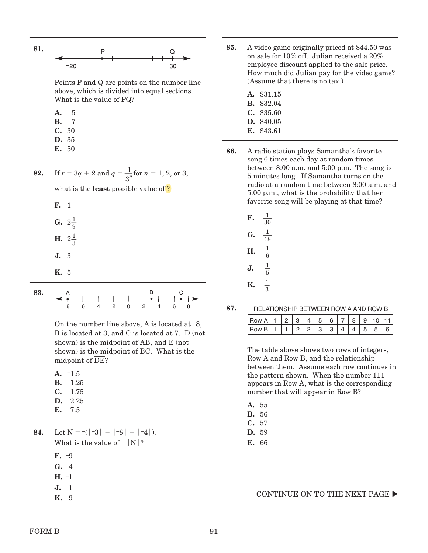

Points P and Q are points on the number line above, which is divided into equal sections. What is the value of PQ?

| А. | $-5$ |
|----|------|
| В. | 7    |
| C. | 30   |
| D. | 35   |
| Е. | 50   |

- **82.** If  $r = 3q + 2$  and  $q = \frac{1}{3^n}$  for  $n = 1, 2,$  or 3, what is the **least** possible value of ? F. 1 G.  $2\frac{1}{9}$ 
	- **H.**  $2\frac{1}{3}$ J. 3
	- K. 5
	-

83.

0246 8 A B C –8 –6 –4 –2

On the number line above, A is located at –8, B is located at 3, and C is located at 7. D (not shown) is the midpoint of  $\overline{AB}$ , and E (not shown) is the midpoint of BC. What is the midpoint of DE?

 $A. -1.5$ 

- B. 1.25
- C. 1.75
- D. 2.25
- E. 7.5.

84. Let  $N = |3| - |8| + |4|$ . What is the value of  $\lceil N \rceil$ ?

- F. –9
- $G. -4$
- H. –1
- J. 1
- K. 9
- 85. A video game originally priced at \$44.50 was on sale for 10% off. Julian received a 20% employee discount applied to the sale price. How much did Julian pay for the video game? (Assume that there is no tax.)
	- A. \$31.15
	- B. \$32.04
	- C. \$35.60
	- D. \$40.05 E. \$43.61
- 86. A radio station plays Samantha's favorite song 6 times each day at random times between 8:00 a.m. and 5:00 p.m. The song is 5 minutes long. If Samantha turns on the radio at a random time between 8:00 a.m. and 5:00 p.m., what is the probability that her favorite song will be playing at that time?
	- $\mathbf F$ . 30 G.  $\frac{1}{18}$  $H. \quad \frac{1}{2}$ 6 **J.**  $\frac{1}{5}$ **K.**  $\frac{1}{3}$

87.

| RELATIONSHIP BETWEEN ROW A AND ROW B |  |  |  |
|--------------------------------------|--|--|--|
|                                      |  |  |  |

| `∩W |  |  |  |  |  |  |
|-----|--|--|--|--|--|--|
|     |  |  |  |  |  |  |

The table above shows two rows of integers, Row A and Row B, and the relationship between them. Assume each row continues in the pattern shown. When the number 111 appears in Row A, what is the corresponding number that will appear in Row B?

- A. 55
- B. 56
- C. 57
- D. 59
- E. 66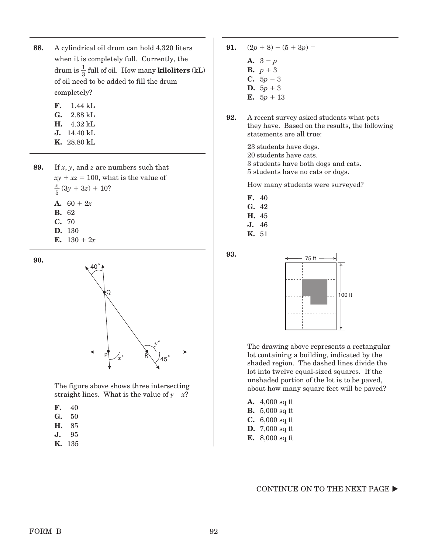- 88. A cylindrical oil drum can hold 4,320 liters when it is completely full. Currently, the drum is  $\frac{1}{3}$  full of oil. How many **kiloliters** (kL) of oil need to be added to fill the drum completely?
	- F. 1.44 kL G. 2.88 kL
	- H. 4.32 kL
	- J. 14.40 kL
	- K. 28.80 kL

89. If *x*, *y*, and *z* are numbers such that  $xy + xz = 100$ , what is the value of  $\frac{x}{5}$  (3y + 3z) + 10? A.  $60 + 2x$ B. 62 C. 70 D. 130

E.  $130 + 2x$ 

90.



The figure above shows three intersecting straight lines. What is the value of  $y - x$ ?

- F. 40
- G. 50
- H. 85
- J. 95
- K. 135
- **91.**  $(2p + 8) (5 + 3p) =$ A.  $3 - p$ **B.**  $p + 3$ **C.**  $5p-3$ **D.**  $5p + 3$ E.  $5p + 13$
- 92. A recent survey asked students what pets they have. Based on the results, the following statements are all true:

23 students have dogs. 20 students have cats. 3 students have both dogs and cats. 5 students have no cats or dogs.

How many students were surveyed?

<u>M94-031</u>

- F. 40
- G. 42
- H. 45
- J. 46
- K. 51

93.



The drawing above represents a rectangular lot containing a building, indicated by the shaded region. The dashed lines divide the lot into twelve equal-sized squares. If the unshaded portion of the lot is to be paved, about how many square feet will be paved?

- A. 4,000 sq ft
- B. 5,000 sq ft
- C. 6,000 sq ft
- D. 7,000 sq ft
- E. 8,000 sq ft